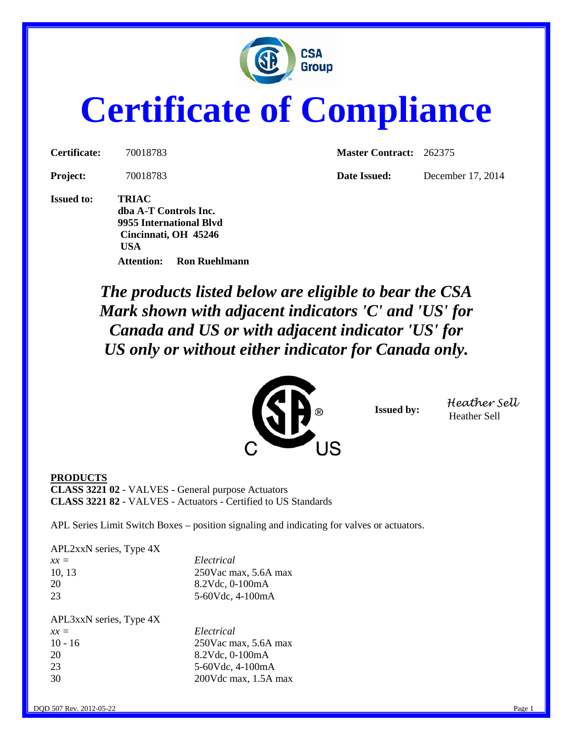

## **Certificate of Compliance**

**Project:** 70018783 **Date Issued:** December 17, 2014

**Issued to: TRIAC dba A-T Controls Inc. 9955 International Blvd Cincinnati, OH 45246 USA Attention: Ron Ruehlmann**

**Certificate:** 70018783 **Master Contract:** 262375

*The products listed below are eligible to bear the CSA Mark shown with adjacent indicators 'C' and 'US' for Canada and US or with adjacent indicator 'US' for US only or without either indicator for Canada only.*



**Issued by:** *Heather Sell* Heather Sell

**PRODUCTS CLASS 3221 02** - VALVES - General purpose Actuators **CLASS 3221 82** - VALVES - Actuators - Certified to US Standards

APL Series Limit Switch Boxes – position signaling and indicating for valves or actuators.

APL2xxN series, Type 4X

| $xx =$ | Electrical              |
|--------|-------------------------|
| 10.13  | $250$ Vac max, 5.6A max |
| 20     | $8.2$ Vdc, 0-100mA      |
| 23     | 5-60Vdc, 4-100mA        |
|        |                         |

| APL3xxN series, Type 4X |                      |
|-------------------------|----------------------|
| $xx =$                  | Electrical           |
| $10 - 16$               | 250Vac max, 5.6A max |
| 20                      | 8.2Vdc, 0-100mA      |
| 23                      | 5-60Vdc, 4-100mA     |
| 30                      | 200Vdc max, 1.5A max |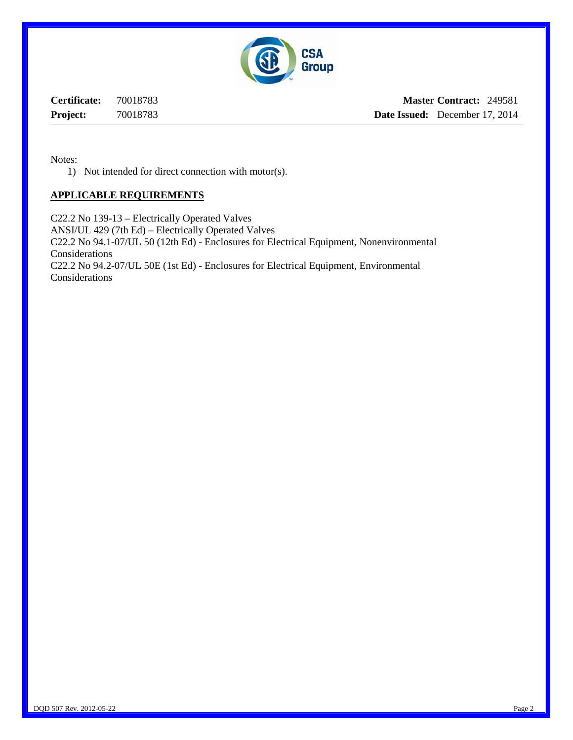

**Certificate:** 70018783 **Project:** 70018783

**Master Contract:** 249581 **Date Issued:** December 17, 2014

Notes:

1) Not intended for direct connection with motor(s).

## **APPLICABLE REQUIREMENTS**

C22.2 No 139-13 – Electrically Operated Valves ANSI/UL 429 (7th Ed) – Electrically Operated Valves C22.2 No 94.1-07/UL 50 (12th Ed) - Enclosures for Electrical Equipment, Nonenvironmental Considerations C22.2 No 94.2-07/UL 50E (1st Ed) - Enclosures for Electrical Equipment, Environmental Considerations